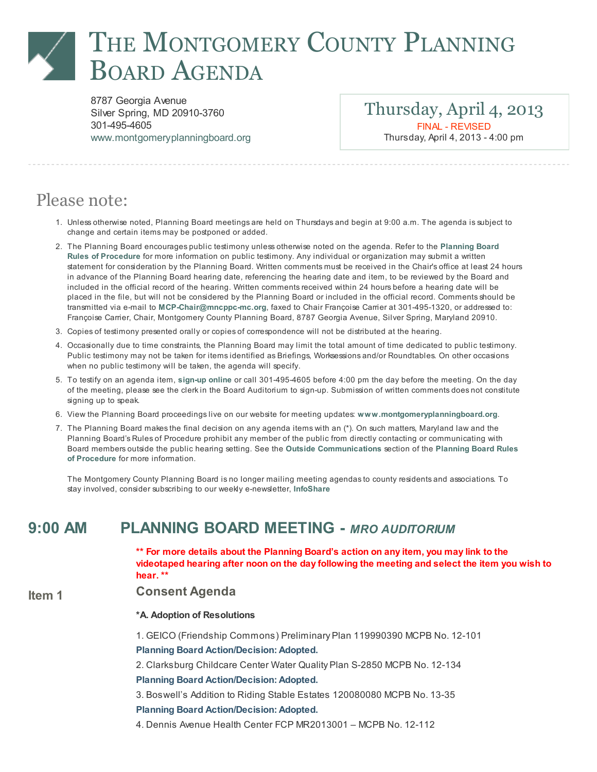# THE MONTGOMERY COUNTY PLANNING BOARD AGENDA

8787 Georgia Avenue Silver Spring, MD 20910-3760 301-495-4605 [www.montgomeryplanningboard.org](http://www.montgomeryplanningboard.org/)

Thursday, April 4, 2013 FINAL - REVISED Thursday, April 4, 2013 - 4:00 pm

## Please note:

- 1. Unlessotherwise noted, Planning Board meetingsare held on Thursdaysand begin at 9:00 a.m. The agenda is subject to change and certain items may be postponed or added.
- 2. The Planning Board encourages public testimony unless otherwise noted on the agenda. Refer to the Planning Board Rules of Procedure for more information on public testimony. Any individual or organization may submit a written statement for consideration by the Planning Board. Written comments must be received in the Chair'soffice at least 24 hours in advance of the Planning Board hearing date, referencing the hearing date and item, to be reviewed by the Board and included in the official record of the hearing. Written comments received within 24 hoursbefore a hearing date will be placed in the file, but will not be considered by the Planning Board or included in the official record. Comments should be transmitted via e-mail to [MCP-Chair@mncppc-mc.org](mailto:MCP-Chair@mncppc-mc.org), faxed to Chair Françoise Carrier at 301-495-1320, or addressed to: Françoise Carrier, Chair, Montgomery County Planning Board, 8787 Georgia Avenue, Silver Spring, Maryland 20910.
- 3. Copiesof testimony presented orally or copiesof correspondence will not be distributed at the hearing.
- 4. Occasionally due to time constraints, the Planning Board may limit the total amount of time dedicated to public testimony. Public testimony may not be taken for items identified as Briefings, Worksessionsand/or Roundtables. On other occasions when no public testimony will be taken, the agenda will specify.
- 5. To testify on an agenda item, [sign-up](http://www.montgomeryapps.org/planning_board/testify.asp) online or call 301-495-4605 before 4:00 pm the day before the meeting. On the day of the meeting, please see the clerk in the Board Auditorium to sign-up. Submission of written comments does not constitute signing up to speak.
- 6. View the Planning Board proceedings live on our website for meeting updates: [www.montgomeryplanningboard.org](http://www.montgomeryplanningboard.org/).
- 7. The Planning Board makes the final decision on any agenda items with an (\*). On such matters, Maryland law and the Planning Board's Rulesof Procedure prohibit any member of the public from directly contacting or communicating with Board membersoutside the public hearing setting. See the Outside [Communications](http://www.montgomeryplanningboard.org/agenda/2007/documents/RulesFINAL3.21.07.pdf) section of the Planning Board Rules of Procedure for more information.

The Montgomery County Planning Board isno longer mailing meeting agendas to county residentsand associations. To stay involved, consider subscribing to our weekly e-newsletter, [InfoShare](http://www.montgomeryplanningboard.org/outreach_center/infoshare/signup.shtm)

### 9:00 AM PLANNING BOARD MEETING - MRO AUDITORIUM

\*\* For more details about the Planning Board's action on any item, you may link to the videotaped hearing after noon on the day following the meeting and select the item you wish to hear. \*\*

#### Item 1 Consent Agenda

#### \*A. Adoption of Resolutions

1. GEICO (Friendship Commons) Preliminary Plan 119990390 MCPB No. 12-101 Planning Board Action/Decision: Adopted.

2. Clarksburg Childcare Center Water Quality Plan S-2850 MCPB No. 12-134

Planning Board Action/Decision: Adopted.

3. Boswell's Addition to Riding Stable Estates 120080080 MCPB No. 13-35

Planning Board Action/Decision: Adopted.

4. Dennis Avenue Health Center FCP MR2013001 – MCPB No. 12-112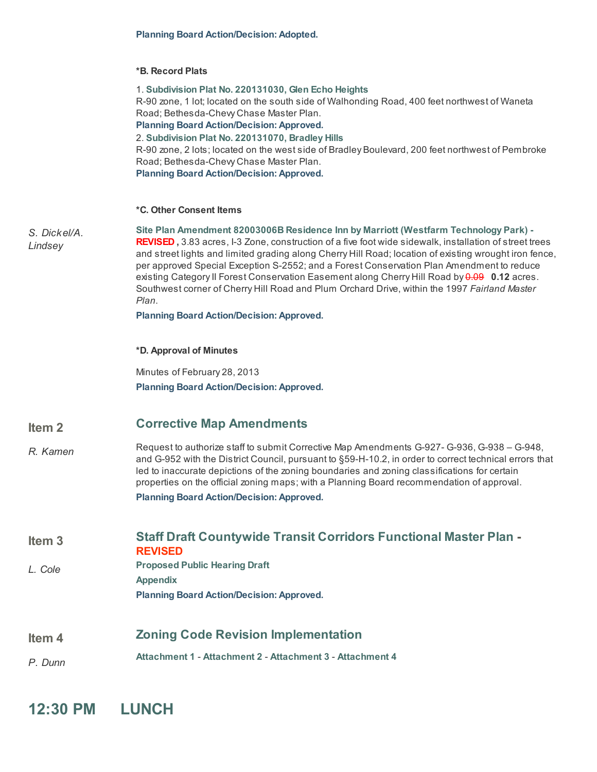#### \*B. Record Plats

|                         | 1. Subdivision Plat No. 220131030, Glen Echo Heights<br>R-90 zone, 1 lot; located on the south side of Walhonding Road, 400 feet northwest of Waneta<br>Road; Bethesda-Chevy Chase Master Plan.<br><b>Planning Board Action/Decision: Approved.</b><br>2. Subdivision Plat No. 220131070, Bradley Hills<br>R-90 zone, 2 lots; located on the west side of Bradley Boulevard, 200 feet northwest of Pembroke<br>Road; Bethesda-Chevy Chase Master Plan.<br><b>Planning Board Action/Decision: Approved.</b>                                                                                                             |
|-------------------------|------------------------------------------------------------------------------------------------------------------------------------------------------------------------------------------------------------------------------------------------------------------------------------------------------------------------------------------------------------------------------------------------------------------------------------------------------------------------------------------------------------------------------------------------------------------------------------------------------------------------|
|                         | *C. Other Consent Items                                                                                                                                                                                                                                                                                                                                                                                                                                                                                                                                                                                                |
| S. Dickel/A.<br>Lindsey | Site Plan Amendment 82003006B Residence Inn by Marriott (Westfarm Technology Park) -<br><b>REVISED</b> , 3.83 acres, I-3 Zone, construction of a five foot wide sidewalk, installation of street trees<br>and street lights and limited grading along Cherry Hill Road; location of existing wrought iron fence,<br>per approved Special Exception S-2552; and a Forest Conservation Plan Amendment to reduce<br>existing Category II Forest Conservation Easement along Cherry Hill Road by 0.09 0.12 acres.<br>Southwest corner of Cherry Hill Road and Plum Orchard Drive, within the 1997 Fairland Master<br>Plan. |
|                         | <b>Planning Board Action/Decision: Approved.</b>                                                                                                                                                                                                                                                                                                                                                                                                                                                                                                                                                                       |
|                         | *D. Approval of Minutes                                                                                                                                                                                                                                                                                                                                                                                                                                                                                                                                                                                                |
|                         | Minutes of February 28, 2013<br><b>Planning Board Action/Decision: Approved.</b>                                                                                                                                                                                                                                                                                                                                                                                                                                                                                                                                       |
| Item <sub>2</sub>       | <b>Corrective Map Amendments</b>                                                                                                                                                                                                                                                                                                                                                                                                                                                                                                                                                                                       |
| R. Kamen                | Request to authorize staff to submit Corrective Map Amendments G-927- G-936, G-938 - G-948,<br>and G-952 with the District Council, pursuant to §59-H-10.2, in order to correct technical errors that<br>led to inaccurate depictions of the zoning boundaries and zoning classifications for certain<br>properties on the official zoning maps; with a Planning Board recommendation of approval.<br><b>Planning Board Action/Decision: Approved.</b>                                                                                                                                                                 |
| Item <sub>3</sub>       | <b>Staff Draft Countywide Transit Corridors Functional Master Plan -</b><br><b>REVISED</b>                                                                                                                                                                                                                                                                                                                                                                                                                                                                                                                             |
| L. Cole                 | <b>Proposed Public Hearing Draft</b><br><b>Appendix</b><br><b>Planning Board Action/Decision: Approved.</b>                                                                                                                                                                                                                                                                                                                                                                                                                                                                                                            |
|                         |                                                                                                                                                                                                                                                                                                                                                                                                                                                                                                                                                                                                                        |
| Item <sub>4</sub>       | <b>Zoning Code Revision Implementation</b>                                                                                                                                                                                                                                                                                                                                                                                                                                                                                                                                                                             |
| P. Dunn                 | Attachment 1 - Attachment 2 - Attachment 3 - Attachment 4                                                                                                                                                                                                                                                                                                                                                                                                                                                                                                                                                              |
|                         |                                                                                                                                                                                                                                                                                                                                                                                                                                                                                                                                                                                                                        |

12:30 PM LUNCH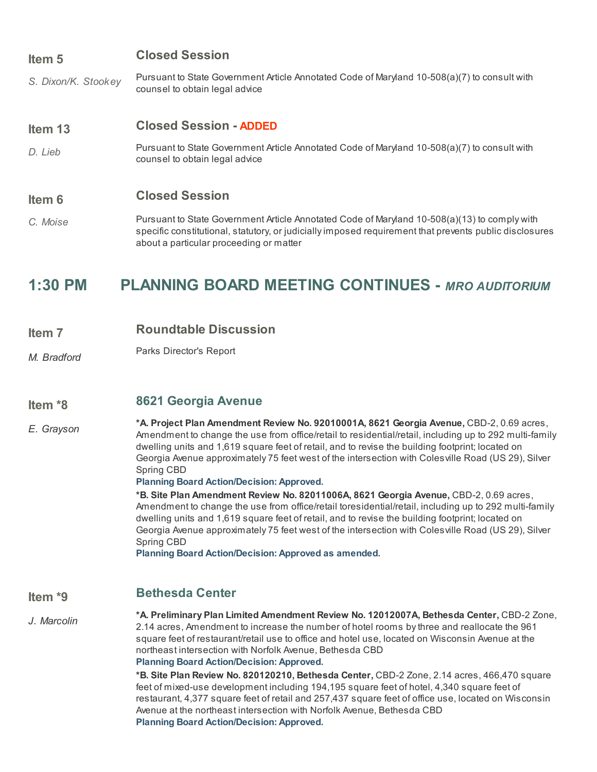### Item 5 Closed Session

S. Dixon/K. Stookey Pursuant to State Government Article Annotated Code of Maryland 10-508(a)(7) to consult with counsel to obtain legal advice

#### Item 13 Closed Session - ADDED

D. Lieb Pursuant to State Government Article Annotated Code of Maryland 10-508(a)(7) to consult with counsel to obtain legal advice

### Item 6 Closed Session

C. Moise Pursuant to State Government Article Annotated Code of Maryland 10-508(a)(13) to comply with specific constitutional, statutory, or judicially imposed requirement that prevents public disclosures about a particular proceeding or matter

### 1:30 PM PLANNING BOARD MEETING CONTINUES - MRO AUDITORIUM

- Item 7 Roundtable Discussion
- M. Bradford Parks Director's Report

#### Item \*8 8621 [Georgia](http://www.montgomeryplanningboard.org/agenda/2013/documents/20130404_8621GeorgiaAvenue.pdf) Avenue

E. Grayson \*A. Project Plan Amendment Review No. 92010001A, 8621 Georgia Avenue, CBD-2, 0.69 acres, Amendment to change the use from office/retail to residential/retail, including up to 292 multi-family dwelling units and 1,619 square feet of retail, and to revise the building footprint; located on Georgia Avenue approximately 75 feet west of the intersection with Colesville Road (US 29), Silver Spring CBD

Planning Board Action/Decision: Approved.

\*B. Site Plan Amendment Review No. 82011006A, 8621 Georgia Avenue, CBD-2, 0.69 acres, Amendment to change the use from office/retail toresidential/retail, including up to 292 multi-family dwelling units and 1,619 square feet of retail, and to revise the building footprint; located on Georgia Avenue approximately 75 feet west of the intersection with Colesville Road (US 29), Silver Spring CBD

Planning Board Action/Decision: Approved as amended.

### Item \*9 [Bethesda](http://www.montgomeryplanningboard.org/agenda/2013/documents/20130404_BethesdaCenter.pdf) Center

J. Marcolin

\*A. Preliminary Plan Limited Amendment Review No. 12012007A, Bethesda Center, CBD-2 Zone, 2.14 acres, Amendment to increase the number of hotel rooms by three and reallocate the 961 square feet of restaurant/retail use to office and hotel use, located on Wisconsin Avenue at the northeast intersection with Norfolk Avenue, Bethesda CBD Planning Board Action/Decision: Approved.

\*B. Site Plan Review No. 820120210, Bethesda Center, CBD-2 Zone, 2.14 acres, 466,470 square feet of mixed-use development including 194,195 square feet of hotel, 4,340 square feet of restaurant, 4,377 square feet of retail and 257,437 square feet of office use, located on Wisconsin Avenue at the northeast intersection with Norfolk Avenue, Bethesda CBD Planning Board Action/Decision: Approved.